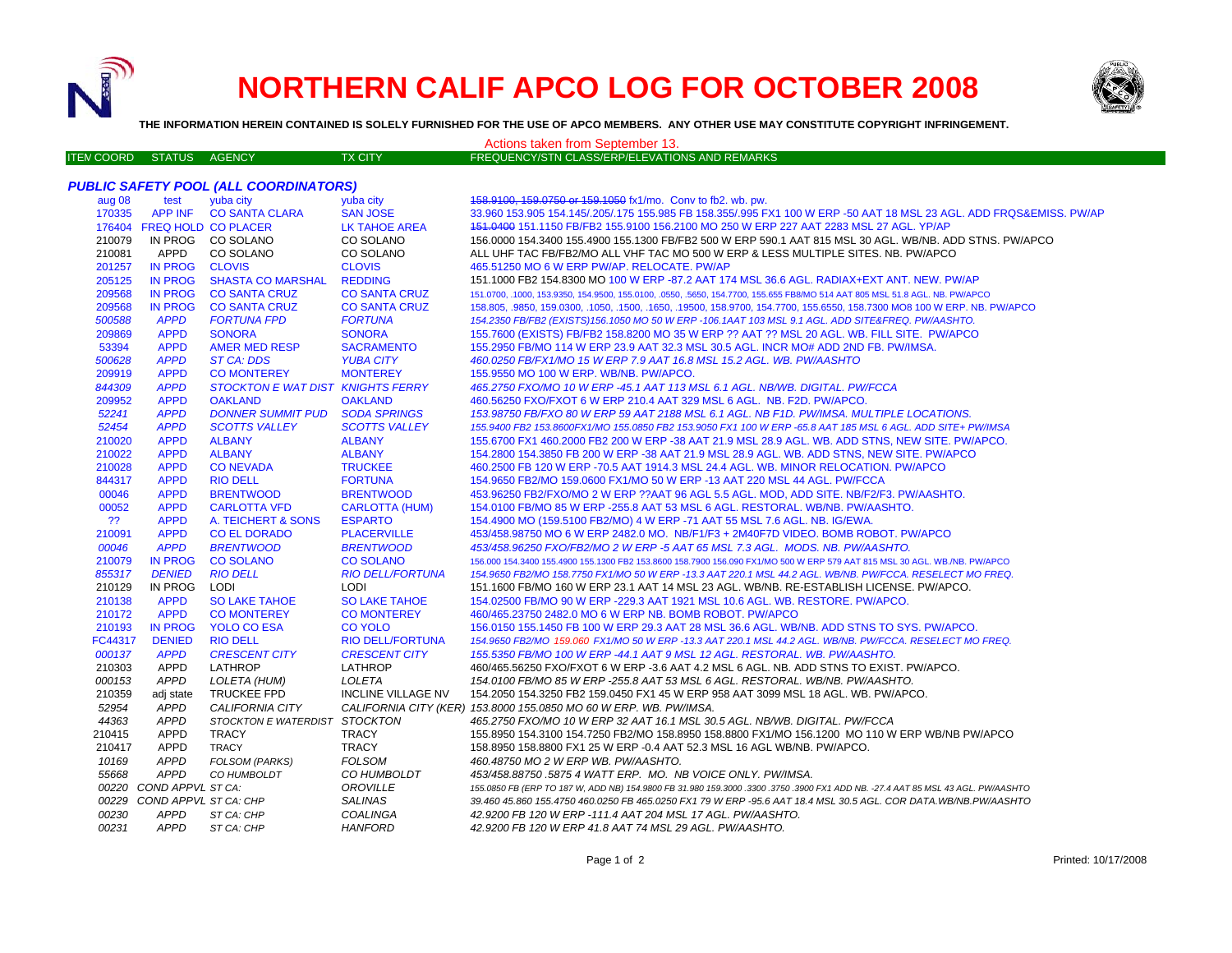

## **NORTHERN CALIF APCO LOG FOR OCTOBER 2008**



**THE INFORMATION HEREIN CONTAINED IS SOLELY FURNISHED FOR THE USE OF APCO MEMBERS. ANY OTHER USE MAY CONSTITUTE COPYRIGHT INFRINGEMENT.**

| Actions taken from September 13. |                             |                                              |                           |                                                                                                                                 |  |  |  |
|----------------------------------|-----------------------------|----------------------------------------------|---------------------------|---------------------------------------------------------------------------------------------------------------------------------|--|--|--|
| <b>ITEM COORD</b>                | <b>STATUS</b>               | <b>AGENCY</b>                                | <b>TX CITY</b>            | FREQUENCY/STN CLASS/ERP/ELEVATIONS AND REMARKS                                                                                  |  |  |  |
|                                  |                             |                                              |                           |                                                                                                                                 |  |  |  |
|                                  |                             | <b>PUBLIC SAFETY POOL (ALL COORDINATORS)</b> |                           |                                                                                                                                 |  |  |  |
| aug 08                           | test                        | yuba city                                    | yuba city                 | 158.9100, 159.0750 or 159.1050 fx1/mo. Conv to fb2. wb. pw.                                                                     |  |  |  |
| 170335                           |                             | APP INF CO SANTA CLARA                       | <b>SAN JOSE</b>           | 33.960 153.905 154.145/.205/.175 155.985 FB 158.355/.995 FX1 100 W ERP -50 AAT 18 MSL 23 AGL. ADD FRQS&EMISS. PW/AP             |  |  |  |
|                                  | 176404 FREQ HOLD CO PLACER  |                                              | LK TAHOE AREA             | 151,0400 151,1150 FB/FB2 155,9100 156,2100 MO 250 W ERP 227 AAT 2283 MSL 27 AGL, YP/AP                                          |  |  |  |
| 210079                           |                             | IN PROG CO SOLANO                            | CO SOLANO                 | 156,0000 154,3400 155,4900 155,1300 FB/FB2 500 W ERP 590.1 AAT 815 MSL 30 AGL, WB/NB, ADD STNS, PW/APCO                         |  |  |  |
| 210081                           | APPD                        | CO SOLANO                                    | CO SOLANO                 | ALL UHF TAC FB/FB2/MO ALL VHF TAC MO 500 W ERP & LESS MULTIPLE SITES. NB. PW/APCO                                               |  |  |  |
| 201257                           | <b>IN PROG</b>              | <b>CLOVIS</b>                                | <b>CLOVIS</b>             | 465.51250 MO 6 W ERP PW/AP. RELOCATE. PW/AP                                                                                     |  |  |  |
| 205125                           | <b>IN PROG</b>              | <b>SHASTA CO MARSHAL</b>                     | <b>REDDING</b>            | 151.1000 FB2 154.8300 MO 100 W ERP -87.2 AAT 174 MSL 36.6 AGL. RADIAX+EXT ANT. NEW. PW/AP                                       |  |  |  |
| 209568                           | <b>IN PROG</b>              | <b>CO SANTA CRUZ</b>                         | <b>CO SANTA CRUZ</b>      | 151.0700, .1000, 153.9350, 154.9500, 155.0100, .0550, .5650, 154.7700, 155.655 FB8/MO 514 AAT 805 MSL 51.8 AGL. NB. PW/APCO     |  |  |  |
| 209568                           | <b>IN PROG</b>              | <b>CO SANTA CRUZ</b>                         | <b>CO SANTA CRUZ</b>      | 158.805, .9850, 159.0300, .1050, .1500, .1650, .19500, 158.9700, 154.7700, 155.6550, 158.7300 MO8 100 W ERP. NB. PW/APCO        |  |  |  |
| 500588                           | <b>APPD</b>                 | <b>FORTUNA FPD</b>                           | <b>FORTUNA</b>            | 154.2350 FB/FB2 (EXISTS)156.1050 MO 50 W ERP -106.1AAT 103 MSL 9.1 AGL. ADD SITE&FREQ. PW/AASHTO.                               |  |  |  |
| 209869                           | <b>APPD</b>                 | <b>SONORA</b>                                | <b>SONORA</b>             | 155.7600 (EXISTS) FB/FB2 158.8200 MO 35 W ERP ?? AAT ?? MSL 20 AGL. WB. FILL SITE. PW/APCO                                      |  |  |  |
| 53394                            | <b>APPD</b>                 | <b>AMER MED RESP</b>                         | <b>SACRAMENTO</b>         | 155.2950 FB/MO 114 W ERP 23.9 AAT 32.3 MSL 30.5 AGL. INCR MO# ADD 2ND FB. PW/IMSA.                                              |  |  |  |
| 500628                           | <b>APPD</b>                 | <b>ST CA: DDS</b>                            | <b>YUBA CITY</b>          | 460.0250 FB/FX1/MO 15 W ERP 7.9 AAT 16.8 MSL 15.2 AGL. WB. PW/AASHTO                                                            |  |  |  |
| 209919                           | <b>APPD</b>                 | <b>CO MONTEREY</b>                           | <b>MONTEREY</b>           | 155.9550 MO 100 W ERP. WB/NB. PW/APCO.                                                                                          |  |  |  |
| 844309                           | <b>APPD</b>                 | STOCKTON E WAT DIST KNIGHTS FERRY            |                           | 465.2750 FXO/MO 10 W ERP -45.1 AAT 113 MSL 6.1 AGL. NB/WB. DIGITAL. PW/FCCA                                                     |  |  |  |
| 209952                           | <b>APPD</b>                 | <b>OAKLAND</b>                               | <b>OAKLAND</b>            | 460.56250 FXO/FXOT 6 W ERP 210.4 AAT 329 MSL 6 AGL. NB. F2D. PW/APCO.                                                           |  |  |  |
| 52241                            | <b>APPD</b>                 | <b>DONNER SUMMIT PUD</b>                     | <b>SODA SPRINGS</b>       | 153.98750 FB/FXO 80 W ERP 59 AAT 2188 MSL 6.1 AGL. NB F1D. PW/IMSA. MULTIPLE LOCATIONS.                                         |  |  |  |
| 52454                            | <b>APPD</b>                 | <b>SCOTTS VALLEY</b>                         | <b>SCOTTS VALLEY</b>      | 155.9400 FB2 153.8600FX1/MO 155.0850 FB2 153.9050 FX1 100 W ERP -65.8 AAT 185 MSL 6 AGL. ADD SITE+ PW/IMSA                      |  |  |  |
| 210020                           | <b>APPD</b>                 | <b>ALBANY</b>                                | <b>ALBANY</b>             | 155.6700 FX1 460.2000 FB2 200 W ERP -38 AAT 21.9 MSL 28.9 AGL. WB. ADD STNS, NEW SITE. PW/APCO.                                 |  |  |  |
| 210022                           | <b>APPD</b>                 | <b>ALBANY</b>                                | <b>ALBANY</b>             | 154.2800 154.3850 FB 200 W ERP -38 AAT 21.9 MSL 28.9 AGL. WB. ADD STNS, NEW SITE. PW/APCO                                       |  |  |  |
| 210028                           | <b>APPD</b>                 | <b>CONEVADA</b>                              | <b>TRUCKEE</b>            | 460.2500 FB 120 W ERP -70.5 AAT 1914.3 MSL 24.4 AGL. WB. MINOR RELOCATION. PW/APCO                                              |  |  |  |
| 844317                           | <b>APPD</b>                 | <b>RIO DELL</b>                              | <b>FORTUNA</b>            | 154.9650 FB2/MO 159.0600 FX1/MO 50 W ERP -13 AAT 220 MSL 44 AGL. PW/FCCA                                                        |  |  |  |
| 00046                            | <b>APPD</b>                 | <b>BRENTWOOD</b>                             | <b>BRENTWOOD</b>          | 453.96250 FB2/FXO/MO 2 W ERP ??AAT 96 AGL 5.5 AGL. MOD, ADD SITE. NB/F2/F3. PW/AASHTO.                                          |  |  |  |
| 00052                            | <b>APPD</b>                 | <b>CARLOTTA VFD</b>                          | <b>CARLOTTA (HUM)</b>     | 154.0100 FB/MO 85 W ERP -255.8 AAT 53 MSL 6 AGL. RESTORAL. WB/NB. PW/AASHTO.                                                    |  |  |  |
| ??                               | <b>APPD</b>                 | A. TEICHERT & SONS                           | <b>ESPARTO</b>            | 154.4900 MO (159.5100 FB2/MO) 4 W ERP -71 AAT 55 MSL 7.6 AGL. NB. IG/EWA.                                                       |  |  |  |
| 210091                           | <b>APPD</b>                 | <b>CO EL DORADO</b>                          | <b>PLACERVILLE</b>        | 453/458.98750 MO 6 W ERP 2482.0 MO. NB/F1/F3 + 2M40F7D VIDEO. BOMB ROBOT. PW/APCO                                               |  |  |  |
| 00046                            | <b>APPD</b>                 | <b>BRENTWOOD</b>                             | <b>BRENTWOOD</b>          | 453/458.96250 FXO/FB2/MO 2 W ERP -5 AAT 65 MSL 7.3 AGL. MODS. NB. PW/AASHTO.                                                    |  |  |  |
| 210079                           | <b>IN PROG</b>              | <b>CO SOLANO</b>                             | <b>CO SOLANO</b>          | 156.000 154.3400 155.4900 155.1300 FB2 153.8600 158.7900 156.090 FX1/MO 500 W ERP 579 AAT 815 MSL 30 AGL. WB./NB. PW/APCO       |  |  |  |
| 855317                           | <b>DENIED</b>               | <b>RIO DELL</b>                              | <b>RIO DELL/FORTUNA</b>   | 154.9650 FB2/MO 158.7750 FX1/MO 50 W ERP -13.3 AAT 220.1 MSL 44.2 AGL. WB/NB. PW/FCCA. RESELECT MO FREQ.                        |  |  |  |
| 210129                           | IN PROG                     | LODI                                         | <b>LODI</b>               | 151.1600 FB/MO 160 W ERP 23.1 AAT 14 MSL 23 AGL. WB/NB. RE-ESTABLISH LICENSE. PW/APCO.                                          |  |  |  |
| 210138                           | <b>APPD</b>                 | <b>SO LAKE TAHOE</b>                         | <b>SO LAKE TAHOE</b>      | 154.02500 FB/MO 90 W ERP -229.3 AAT 1921 MSL 10.6 AGL. WB. RESTORE. PW/APCO.                                                    |  |  |  |
| 210172                           | <b>APPD</b>                 | <b>CO MONTEREY</b>                           | <b>CO MONTEREY</b>        | 460/465.23750 2482.0 MO 6 W ERP NB. BOMB ROBOT. PW/APCO                                                                         |  |  |  |
| 210193                           | <b>IN PROG</b>              | <b>YOLO CO ESA</b>                           | <b>CO YOLO</b>            | 156,0150 155,1450 FB 100 W ERP 29.3 AAT 28 MSL 36.6 AGL, WB/NB, ADD STNS TO SYS, PW/APCO,                                       |  |  |  |
| FC44317                          | <b>DENIED</b>               | <b>RIO DELL</b>                              | <b>RIO DELL/FORTUNA</b>   | 154.9650 FB2/MO 159.060 FX1/MO 50 W ERP -13.3 AAT 220.1 MSL 44.2 AGL. WB/NB. PW/FCCA. RESELECT MO FREQ.                         |  |  |  |
| 000137                           | <b>APPD</b>                 | <b>CRESCENT CITY</b>                         | <b>CRESCENT CITY</b>      | 155.5350 FB/MO 100 W ERP -44.1 AAT 9 MSL 12 AGL. RESTORAL. WB. PW/AASHTO.                                                       |  |  |  |
| 210303                           | <b>APPD</b>                 | LATHROP                                      | LATHROP                   | 460/465.56250 FXO/FXOT 6 W ERP -3.6 AAT 4.2 MSL 6 AGL. NB. ADD STNS TO EXIST. PW/APCO.                                          |  |  |  |
| 000153                           | <b>APPD</b>                 | <b>LOLETA (HUM)</b>                          | LOLETA                    | 154.0100 FB/MO 85 W ERP -255.8 AAT 53 MSL 6 AGL. RESTORAL. WB/NB. PW/AASHTO.                                                    |  |  |  |
| 210359                           | adj state                   | <b>TRUCKEE FPD</b>                           | <b>INCLINE VILLAGE NV</b> | 154.2050 154.3250 FB2 159.0450 FX1 45 W ERP 958 AAT 3099 MSL 18 AGL. WB. PW/APCO.                                               |  |  |  |
| 52954                            | <b>APPD</b>                 | CALIFORNIA CITY                              |                           | CALIFORNIA CITY (KER) 153.8000 155.0850 MO 60 W ERP. WB. PW/IMSA.                                                               |  |  |  |
| 44363                            | <b>APPD</b>                 | STOCKTON E WATERDIST STOCKTON                |                           | 465.2750 FXO/MO 10 W ERP 32 AAT 16.1 MSL 30.5 AGL. NB/WB. DIGITAL. PW/FCCA                                                      |  |  |  |
| 210415                           | APPD                        | <b>TRACY</b>                                 | TRACY                     | 155.8950 154.3100 154.7250 FB2/MO 158.8950 158.8800 FX1/MO 156.1200 MO 110 W ERP WB/NB PW/APCO                                  |  |  |  |
| 210417                           | APPD                        | <b>TRACY</b>                                 | TRACY                     | 158.8950 158.8800 FX1 25 W ERP -0.4 AAT 52.3 MSL 16 AGL WB/NB. PW/APCO.                                                         |  |  |  |
| 10169                            | <b>APPD</b>                 | <b>FOLSOM (PARKS)</b>                        | <b>FOLSOM</b>             | 460.48750 MO 2 W ERP WB. PW/AASHTO.                                                                                             |  |  |  |
| 55668                            | <b>APPD</b>                 | CO HUMBOLDT                                  | CO HUMBOLDT               | 453/458.88750.5875 4 WATT ERP. MO. NB VOICE ONLY. PW/IMSA.                                                                      |  |  |  |
|                                  | 00220 COND APPVL ST CA:     |                                              | OROVILLE                  | 155.0850 FB (ERP TO 187 W, ADD NB) 154.9800 FB 31.980 159.3000 .3300 .3750 .3900 FX1 ADD NB. -27.4 AAT 85 MSL 43 AGL. PW/AASHTO |  |  |  |
|                                  | 00229 COND APPVL ST CA: CHP |                                              | SALINAS                   | 39.460 45.860 155.4750 460.0250 FB 465.0250 FX1 79 W ERP -95.6 AAT 18.4 MSL 30.5 AGL. COR DATA.WB/NB.PW/AASHTO                  |  |  |  |
| 00230                            | <b>APPD</b>                 | ST CA: CHP                                   | <b>COALINGA</b>           | 42.9200 FB 120 W ERP -111.4 AAT 204 MSL 17 AGL. PW/AASHTO.                                                                      |  |  |  |
| 00231                            | <b>APPD</b>                 | ST CA: CHP                                   | <b>HANFORD</b>            | 42.9200 FB 120 W ERP 41.8 AAT 74 MSL 29 AGL. PW/AASHTO.                                                                         |  |  |  |